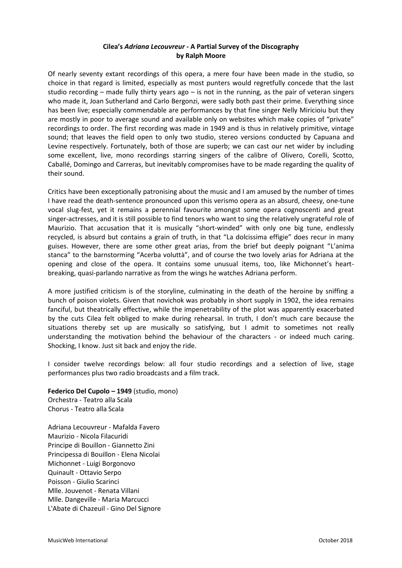## **Cilea's** *Adriana Lecouvreur -* **A Partial Survey of the Discography by Ralph Moore**

Of nearly seventy extant recordings of this opera, a mere four have been made in the studio, so choice in that regard is limited, especially as most punters would regretfully concede that the last studio recording – made fully thirty years ago – is not in the running, as the pair of veteran singers who made it, Joan Sutherland and Carlo Bergonzi, were sadly both past their prime. Everything since has been live; especially commendable are performances by that fine singer Nelly Miricioiu but they are mostly in poor to average sound and available only on websites which make copies of "private" recordings to order. The first recording was made in 1949 and is thus in relatively primitive, vintage sound; that leaves the field open to only two studio, stereo versions conducted by Capuana and Levine respectively. Fortunately, both of those are superb; we can cast our net wider by including some excellent, live, mono recordings starring singers of the calibre of Olivero, Corelli, Scotto, Caballé, Domingo and Carreras, but inevitably compromises have to be made regarding the quality of their sound.

Critics have been exceptionally patronising about the music and I am amused by the number of times I have read the death-sentence pronounced upon this verismo opera as an absurd, cheesy, one-tune vocal slug-fest, yet it remains a perennial favourite amongst some opera cognoscenti and great singer-actresses, and it is still possible to find tenors who want to sing the relatively ungrateful role of Maurizio. That accusation that it is musically "short-winded" with only one big tune, endlessly recycled, is absurd but contains a grain of truth, in that "La dolcissima effigie" does recur in many guises. However, there are some other great arias, from the brief but deeply poignant "L'anima stanca" to the barnstorming "Acerba voluttà", and of course the two lovely arias for Adriana at the opening and close of the opera. It contains some unusual items, too, like Michonnet's heartbreaking, quasi-parlando narrative as from the wings he watches Adriana perform.

A more justified criticism is of the storyline, culminating in the death of the heroine by sniffing a bunch of poison violets. Given that novichok was probably in short supply in 1902, the idea remains fanciful, but theatrically effective, while the impenetrability of the plot was apparently exacerbated by the cuts Cilea felt obliged to make during rehearsal. In truth, I don't much care because the situations thereby set up are musically so satisfying, but I admit to sometimes not really understanding the motivation behind the behaviour of the characters - or indeed much caring. Shocking, I know. Just sit back and enjoy the ride.

I consider twelve recordings below: all four studio recordings and a selection of live, stage performances plus two radio broadcasts and a film track.

**Federico Del Cupolo – 1949** (studio, mono) Orchestra - Teatro alla Scala Chorus - Teatro alla Scala

Adriana Lecouvreur - Mafalda Favero Maurizio - Nicola Filacuridi Principe di Bouillon - Giannetto Zini Principessa di Bouillon - Elena Nicolai Michonnet - Luigi Borgonovo Quinault - Ottavio Serpo Poisson - Giulio Scarinci Mlle. Jouvenot - Renata Villani Mlle. Dangeville - Maria Marcucci L'Abate di Chazeuil - Gino Del Signore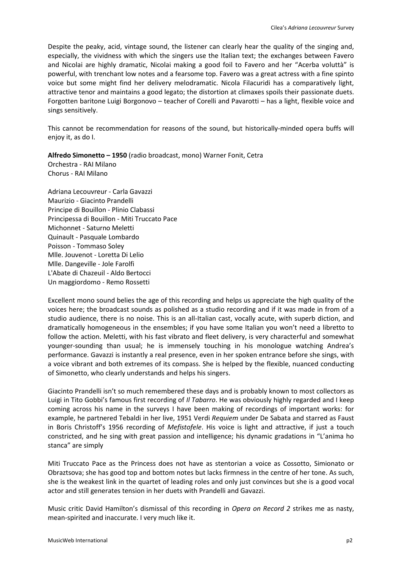Despite the peaky, acid, vintage sound, the listener can clearly hear the quality of the singing and, especially, the vividness with which the singers use the Italian text; the exchanges between Favero and Nicolai are highly dramatic, Nicolai making a good foil to Favero and her "Acerba voluttà" is powerful, with trenchant low notes and a fearsome top. Favero was a great actress with a fine spinto voice but some might find her delivery melodramatic. Nicola Filacuridi has a comparatively light, attractive tenor and maintains a good legato; the distortion at climaxes spoils their passionate duets. Forgotten baritone Luigi Borgonovo – teacher of Corelli and Pavarotti – has a light, flexible voice and sings sensitively.

This cannot be recommendation for reasons of the sound, but historically-minded opera buffs will enjoy it, as do I.

**Alfredo Simonetto – 1950** (radio broadcast, mono) Warner Fonit, Cetra Orchestra - RAI Milano Chorus - RAI Milano

Adriana Lecouvreur - Carla Gavazzi Maurizio - Giacinto Prandelli Principe di Bouillon - Plinio Clabassi Principessa di Bouillon - Miti Truccato Pace Michonnet - Saturno Meletti Quinault - Pasquale Lombardo Poisson - Tommaso Soley Mlle. Jouvenot - Loretta Di Lelio Mlle. Dangeville - Jole Farolfi L'Abate di Chazeuil - Aldo Bertocci Un maggiordomo - Remo Rossetti

Excellent mono sound belies the age of this recording and helps us appreciate the high quality of the voices here; the broadcast sounds as polished as a studio recording and if it was made in from of a studio audience, there is no noise. This is an all-Italian cast, vocally acute, with superb diction, and dramatically homogeneous in the ensembles; if you have some Italian you won't need a libretto to follow the action. Meletti, with his fast vibrato and fleet delivery, is very characterful and somewhat younger-sounding than usual; he is immensely touching in his monologue watching Andrea's performance. Gavazzi is instantly a real presence, even in her spoken entrance before she sings, with a voice vibrant and both extremes of its compass. She is helped by the flexible, nuanced conducting of Simonetto, who clearly understands and helps his singers.

Giacinto Prandelli isn't so much remembered these days and is probably known to most collectors as Luigi in Tito Gobbi's famous first recording of *Il Tabarro*. He was obviously highly regarded and I keep coming across his name in the surveys I have been making of recordings of important works: for example, he partnered Tebaldi in her live, 1951 Verdi *Requiem* under De Sabata and starred as Faust in Boris Christoff's 1956 recording of *Mefistofele*. His voice is light and attractive, if just a touch constricted, and he sing with great passion and intelligence; his dynamic gradations in "L'anima ho stanca" are simply

Miti Truccato Pace as the Princess does not have as stentorian a voice as Cossotto, Simionato or Obraztsova; she has good top and bottom notes but lacks firmness in the centre of her tone. As such, she is the weakest link in the quartet of leading roles and only just convinces but she is a good vocal actor and still generates tension in her duets with Prandelli and Gavazzi.

Music critic David Hamilton's dismissal of this recording in *Opera on Record 2* strikes me as nasty, mean-spirited and inaccurate. I very much like it.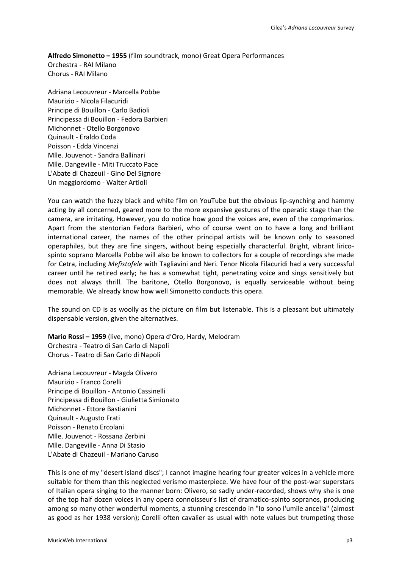**Alfredo Simonetto – 1955** (film soundtrack, mono) Great Opera Performances Orchestra - RAI Milano Chorus - RAI Milano

Adriana Lecouvreur - Marcella Pobbe Maurizio - Nicola Filacuridi Principe di Bouillon - Carlo Badioli Principessa di Bouillon - Fedora Barbieri Michonnet - Otello Borgonovo Quinault - Eraldo Coda Poisson - Edda Vincenzi Mlle. Jouvenot - Sandra Ballinari Mlle. Dangeville - Miti Truccato Pace L'Abate di Chazeuil - Gino Del Signore Un maggiordomo - Walter Artioli

You can watch the fuzzy black and white film on YouTube but the obvious lip-synching and hammy acting by all concerned, geared more to the more expansive gestures of the operatic stage than the camera, are irritating. However, you do notice how good the voices are, even of the comprimarios. Apart from the stentorian Fedora Barbieri, who of course went on to have a long and brilliant international career, the names of the other principal artists will be known only to seasoned operaphiles, but they are fine singers, without being especially characterful. Bright, vibrant liricospinto soprano Marcella Pobbe will also be known to collectors for a couple of recordings she made for Cetra, including *Mefistofele* with Tagliavini and Neri. Tenor Nicola Filacuridi had a very successful career until he retired early; he has a somewhat tight, penetrating voice and sings sensitively but does not always thrill. The baritone, Otello Borgonovo, is equally serviceable without being memorable. We already know how well Simonetto conducts this opera.

The sound on CD is as woolly as the picture on film but listenable. This is a pleasant but ultimately dispensable version, given the alternatives.

**Mario Rossi – 1959** (live, mono) Opera d'Oro, Hardy, Melodram Orchestra - Teatro di San Carlo di Napoli Chorus - Teatro di San Carlo di Napoli

Adriana Lecouvreur - Magda Olivero Maurizio - Franco Corelli Principe di Bouillon - Antonio Cassinelli Principessa di Bouillon - Giulietta Simionato Michonnet - Ettore Bastianini Quinault - Augusto Frati Poisson - Renato Ercolani Mlle. Jouvenot - Rossana Zerbini Mlle. Dangeville - Anna Di Stasio L'Abate di Chazeuil - Mariano Caruso

This is one of my "desert island discs"; I cannot imagine hearing four greater voices in a vehicle more suitable for them than this neglected verismo masterpiece. We have four of the post-war superstars of Italian opera singing to the manner born: Olivero, so sadly under-recorded, shows why she is one of the top half dozen voices in any opera connoisseur's list of dramatico-spinto sopranos, producing among so many other wonderful moments, a stunning crescendo in "Io sono l'umile ancella" (almost as good as her 1938 version); Corelli often cavalier as usual with note values but trumpeting those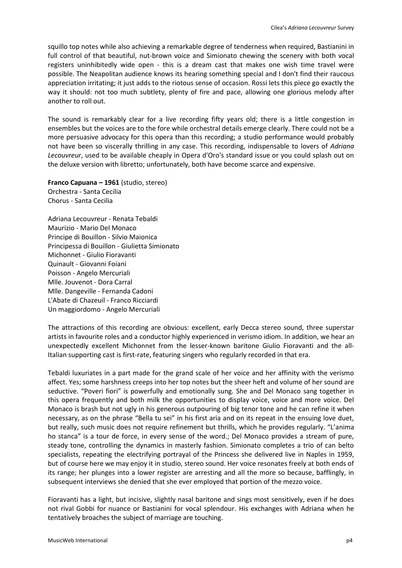squillo top notes while also achieving a remarkable degree of tenderness when required, Bastianini in full control of that beautiful, nut-brown voice and Simionato chewing the scenery with both vocal registers uninhibitedly wide open - this is a dream cast that makes one wish time travel were possible. The Neapolitan audience knows its hearing something special and I don't find their raucous appreciation irritating; it just adds to the riotous sense of occasion. Rossi lets this piece go exactly the way it should: not too much subtlety, plenty of fire and pace, allowing one glorious melody after another to roll out.

The sound is remarkably clear for a live recording fifty years old; there is a little congestion in ensembles but the voices are to the fore while orchestral details emerge clearly. There could not be a more persuasive advocacy for this opera than this recording; a studio performance would probably not have been so viscerally thrilling in any case. This recording, indispensable to lovers of *Adriana Lecouvreur*, used to be available cheaply in Opera d'Oro's standard issue or you could splash out on the deluxe version with libretto; unfortunately, both have become scarce and expensive.

**Franco Capuana – 1961** (studio, stereo) Orchestra - Santa Cecilia Chorus - Santa Cecilia

Adriana Lecouvreur - Renata Tebaldi Maurizio - Mario Del Monaco Principe di Bouillon - Silvio Maionica Principessa di Bouillon - Giulietta Simionato Michonnet - Giulio Fioravanti Quinault - Giovanni Foiani Poisson - Angelo Mercuriali Mlle. Jouvenot - Dora Carral Mlle. Dangeville - Fernanda Cadoni L'Abate di Chazeuil - Franco Ricciardi Un maggiordomo - Angelo Mercuriali

The attractions of this recording are obvious: excellent, early Decca stereo sound, three superstar artists in favourite roles and a conductor highly experienced in verismo idiom. In addition, we hear an unexpectedly excellent Michonnet from the lesser-known baritone Giulio Fioravanti and the all-Italian supporting cast is first-rate, featuring singers who regularly recorded in that era.

Tebaldi luxuriates in a part made for the grand scale of her voice and her affinity with the verismo affect. Yes; some harshness creeps into her top notes but the sheer heft and volume of her sound are seductive. "Poveri fiori" is powerfully and emotionally sung. She and Del Monaco sang together in this opera frequently and both milk the opportunities to display voice, voice and more voice. Del Monaco is brash but not ugly in his generous outpouring of big tenor tone and he can refine it when necessary, as on the phrase "Bella tu sei" in his first aria and on its repeat in the ensuing love duet, but really, such music does not require refinement but thrills, which he provides regularly. "L'anima ho stanca" is a tour de force, in every sense of the word.; Del Monaco provides a stream of pure, steady tone, controlling the dynamics in masterly fashion. Simionato completes a trio of can belto specialists, repeating the electrifying portrayal of the Princess she delivered live in Naples in 1959, but of course here we may enjoy it in studio, stereo sound. Her voice resonates freely at both ends of its range; her plunges into a lower register are arresting and all the more so because, bafflingly, in subsequent interviews she denied that she ever employed that portion of the mezzo voice.

Fioravanti has a light, but incisive, slightly nasal baritone and sings most sensitively, even if he does not rival Gobbi for nuance or Bastianini for vocal splendour. His exchanges with Adriana when he tentatively broaches the subject of marriage are touching.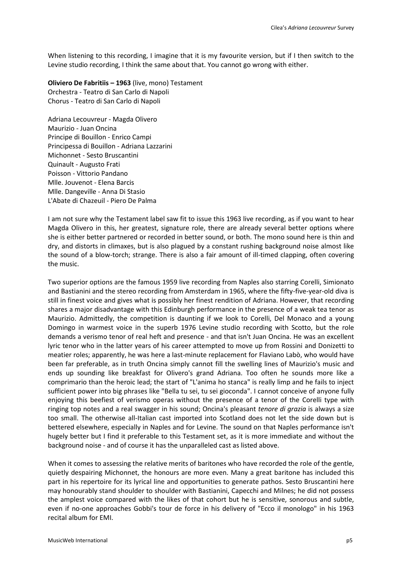When listening to this recording, I imagine that it is my favourite version, but if I then switch to the Levine studio recording, I think the same about that. You cannot go wrong with either.

**Oliviero De Fabritiis – 1963** (live, mono) Testament Orchestra - Teatro di San Carlo di Napoli Chorus - Teatro di San Carlo di Napoli

Adriana Lecouvreur - Magda Olivero Maurizio - Juan Oncina Principe di Bouillon - Enrico Campi Principessa di Bouillon - Adriana Lazzarini Michonnet - Sesto Bruscantini Quinault - Augusto Frati Poisson - Vittorio Pandano Mlle. Jouvenot - Elena Barcis Mlle. Dangeville - Anna Di Stasio L'Abate di Chazeuil - Piero De Palma

I am not sure why the Testament label saw fit to issue this 1963 live recording, as if you want to hear Magda Olivero in this, her greatest, signature role, there are already several better options where she is either better partnered or recorded in better sound, or both. The mono sound here is thin and dry, and distorts in climaxes, but is also plagued by a constant rushing background noise almost like the sound of a blow-torch; strange. There is also a fair amount of ill-timed clapping, often covering the music.

Two superior options are the famous 1959 live recording from Naples also starring Corelli, Simionato and Bastianini and the stereo recording from Amsterdam in 1965, where the fifty-five-year-old diva is still in finest voice and gives what is possibly her finest rendition of Adriana. However, that recording shares a major disadvantage with this Edinburgh performance in the presence of a weak tea tenor as Maurizio. Admittedly, the competition is daunting if we look to Corelli, Del Monaco and a young Domingo in warmest voice in the superb 1976 Levine studio recording with Scotto, but the role demands a verismo tenor of real heft and presence - and that isn't Juan Oncina. He was an excellent lyric tenor who in the latter years of his career attempted to move up from Rossini and Donizetti to meatier roles; apparently, he was here a last-minute replacement for Flaviano Labò, who would have been far preferable, as in truth Oncina simply cannot fill the swelling lines of Maurizio's music and ends up sounding like breakfast for Olivero's grand Adriana. Too often he sounds more like a comprimario than the heroic lead; the start of "L'anima ho stanca" is really limp and he fails to inject sufficient power into big phrases like "Bella tu sei, tu sei gioconda". I cannot conceive of anyone fully enjoying this beefiest of verismo operas without the presence of a tenor of the Corelli type with ringing top notes and a real swagger in his sound; Oncina's pleasant *tenore di grazia* is always a size too small. The otherwise all-Italian cast imported into Scotland does not let the side down but is bettered elsewhere, especially in Naples and for Levine. The sound on that Naples performance isn't hugely better but I find it preferable to this Testament set, as it is more immediate and without the background noise - and of course it has the unparalleled cast as listed above.

When it comes to assessing the relative merits of baritones who have recorded the role of the gentle, quietly despairing Michonnet, the honours are more even. Many a great baritone has included this part in his repertoire for its lyrical line and opportunities to generate pathos. Sesto Bruscantini here may honourably stand shoulder to shoulder with Bastianini, Capecchi and Milnes; he did not possess the amplest voice compared with the likes of that cohort but he is sensitive, sonorous and subtle, even if no-one approaches Gobbi's tour de force in his delivery of "Ecco il monologo" in his 1963 recital album for EMI.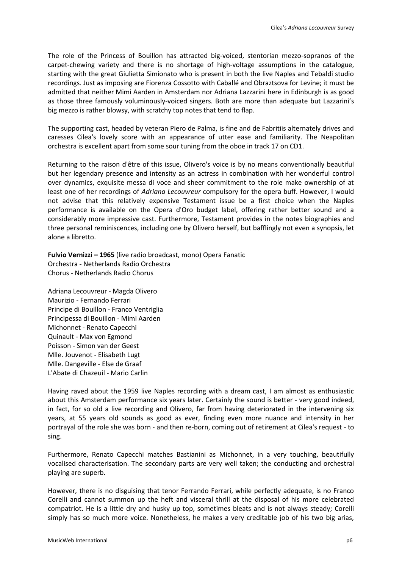The role of the Princess of Bouillon has attracted big-voiced, stentorian mezzo-sopranos of the carpet-chewing variety and there is no shortage of high-voltage assumptions in the catalogue, starting with the great Giulietta Simionato who is present in both the live Naples and Tebaldi studio recordings. Just as imposing are Fiorenza Cossotto with Caballé and Obraztsova for Levine; it must be admitted that neither Mimi Aarden in Amsterdam nor Adriana Lazzarini here in Edinburgh is as good as those three famously voluminously-voiced singers. Both are more than adequate but Lazzarini's big mezzo is rather blowsy, with scratchy top notes that tend to flap.

The supporting cast, headed by veteran Piero de Palma, is fine and de Fabritiis alternately drives and caresses Cilea's lovely score with an appearance of utter ease and familiarity. The Neapolitan orchestra is excellent apart from some sour tuning from the oboe in track 17 on CD1.

Returning to the raison d'être of this issue, Olivero's voice is by no means conventionally beautiful but her legendary presence and intensity as an actress in combination with her wonderful control over dynamics, exquisite messa di voce and sheer commitment to the role make ownership of at least one of her recordings of *Adriana Lecouvreur* compulsory for the opera buff. However, I would not advise that this relatively expensive Testament issue be a first choice when the Naples performance is available on the Opera d'Oro budget label, offering rather better sound and a considerably more impressive cast. Furthermore, Testament provides in the notes biographies and three personal reminiscences, including one by Olivero herself, but bafflingly not even a synopsis, let alone a libretto.

**Fulvio Vernizzi – 1965** (live radio broadcast, mono) Opera Fanatic Orchestra - Netherlands Radio Orchestra Chorus - Netherlands Radio Chorus

Adriana Lecouvreur - Magda Olivero Maurizio - Fernando Ferrari Principe di Bouillon - Franco Ventriglia Principessa di Bouillon - Mimi Aarden Michonnet - Renato Capecchi Quinault - Max von Egmond Poisson - Simon van der Geest Mlle. Jouvenot - Elisabeth Lugt Mlle. Dangeville - Else de Graaf L'Abate di Chazeuil - Mario Carlin

Having raved about the 1959 live Naples recording with a dream cast, I am almost as enthusiastic about this Amsterdam performance six years later. Certainly the sound is better - very good indeed, in fact, for so old a live recording and Olivero, far from having deteriorated in the intervening six years, at 55 years old sounds as good as ever, finding even more nuance and intensity in her portrayal of the role she was born - and then re-born, coming out of retirement at Cilea's request - to sing.

Furthermore, Renato Capecchi matches Bastianini as Michonnet, in a very touching, beautifully vocalised characterisation. The secondary parts are very well taken; the conducting and orchestral playing are superb.

However, there is no disguising that tenor Ferrando Ferrari, while perfectly adequate, is no Franco Corelli and cannot summon up the heft and visceral thrill at the disposal of his more celebrated compatriot. He is a little dry and husky up top, sometimes bleats and is not always steady; Corelli simply has so much more voice. Nonetheless, he makes a very creditable job of his two big arias,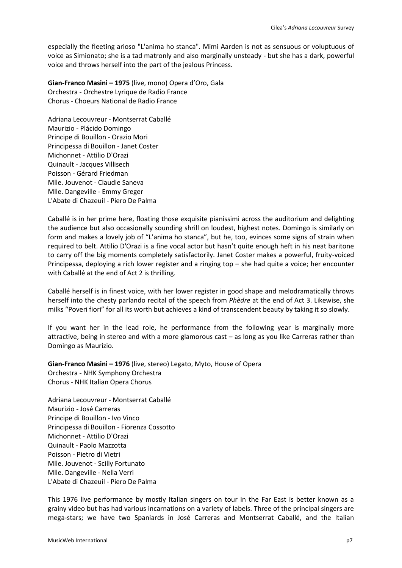especially the fleeting arioso "L'anima ho stanca". Mimi Aarden is not as sensuous or voluptuous of voice as Simionato; she is a tad matronly and also marginally unsteady - but she has a dark, powerful voice and throws herself into the part of the jealous Princess.

**Gian-Franco Masini – 1975** (live, mono) Opera d'Oro, Gala Orchestra - Orchestre Lyrique de Radio France Chorus - Choeurs National de Radio France

Adriana Lecouvreur - Montserrat Caballé Maurizio - Plácido Domingo Principe di Bouillon - Orazio Mori Principessa di Bouillon - Janet Coster Michonnet - Attilio D'Orazi Quinault - Jacques Villisech Poisson - Gérard Friedman Mlle. Jouvenot - Claudie Saneva Mlle. Dangeville - Emmy Greger L'Abate di Chazeuil - Piero De Palma

Caballé is in her prime here, floating those exquisite pianissimi across the auditorium and delighting the audience but also occasionally sounding shrill on loudest, highest notes. Domingo is similarly on form and makes a lovely job of "L'anima ho stanca", but he, too, evinces some signs of strain when required to belt. Attilio D'Orazi is a fine vocal actor but hasn't quite enough heft in his neat baritone to carry off the big moments completely satisfactorily. Janet Coster makes a powerful, fruity-voiced Principessa, deploying a rich lower register and a ringing top – she had quite a voice; her encounter with Caballé at the end of Act 2 is thrilling.

Caballé herself is in finest voice, with her lower register in good shape and melodramatically throws herself into the chesty parlando recital of the speech from *Phèdre* at the end of Act 3. Likewise, she milks "Poveri fiori" for all its worth but achieves a kind of transcendent beauty by taking it so slowly.

If you want her in the lead role, he performance from the following year is marginally more attractive, being in stereo and with a more glamorous cast – as long as you like Carreras rather than Domingo as Maurizio.

**Gian-Franco Masini – 1976** (live, stereo) Legato, Myto, House of Opera Orchestra - NHK Symphony Orchestra Chorus - NHK Italian Opera Chorus

Adriana Lecouvreur - Montserrat Caballé Maurizio - José Carreras Principe di Bouillon - Ivo Vinco Principessa di Bouillon - Fiorenza Cossotto Michonnet - Attilio D'Orazi Quinault - Paolo Mazzotta Poisson - Pietro di Vietri Mlle. Jouvenot - Scilly Fortunato Mlle. Dangeville - Nella Verri L'Abate di Chazeuil - Piero De Palma

This 1976 live performance by mostly Italian singers on tour in the Far East is better known as a grainy video but has had various incarnations on a variety of labels. Three of the principal singers are mega-stars; we have two Spaniards in José Carreras and Montserrat Caballé, and the Italian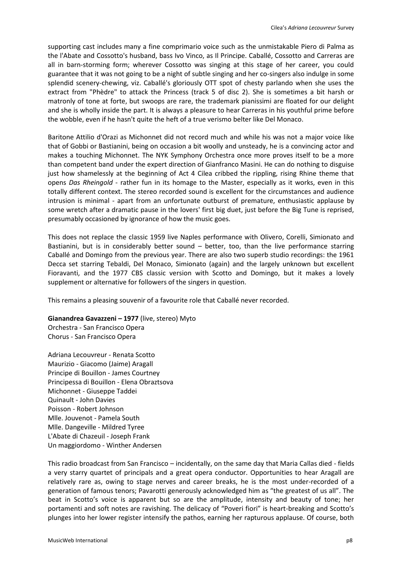supporting cast includes many a fine comprimario voice such as the unmistakable Piero di Palma as the l'Abate and Cossotto's husband, bass Ivo Vinco, as Il Principe. Caballé, Cossotto and Carreras are all in barn-storming form; wherever Cossotto was singing at this stage of her career, you could guarantee that it was not going to be a night of subtle singing and her co-singers also indulge in some splendid scenery-chewing, viz. Caballé's gloriously OTT spot of chesty parlando when she uses the extract from "Phèdre" to attack the Princess (track 5 of disc 2). She is sometimes a bit harsh or matronly of tone at forte, but swoops are rare, the trademark pianissimi are floated for our delight and she is wholly inside the part. It is always a pleasure to hear Carreras in his youthful prime before the wobble, even if he hasn't quite the heft of a true verismo belter like Del Monaco.

Baritone Attilio d'Orazi as Michonnet did not record much and while his was not a major voice like that of Gobbi or Bastianini, being on occasion a bit woolly and unsteady, he is a convincing actor and makes a touching Michonnet. The NYK Symphony Orchestra once more proves itself to be a more than competent band under the expert direction of Gianfranco Masini. He can do nothing to disguise just how shamelessly at the beginning of Act 4 Cilea cribbed the rippling, rising Rhine theme that opens *Das Rheingold* - rather fun in its homage to the Master, especially as it works, even in this totally different context. The stereo recorded sound is excellent for the circumstances and audience intrusion is minimal - apart from an unfortunate outburst of premature, enthusiastic applause by some wretch after a dramatic pause in the lovers' first big duet, just before the Big Tune is reprised, presumably occasioned by ignorance of how the music goes.

This does not replace the classic 1959 live Naples performance with Olivero, Corelli, Simionato and Bastianini, but is in considerably better sound – better, too, than the live performance starring Caballé and Domingo from the previous year. There are also two superb studio recordings: the 1961 Decca set starring Tebaldi, Del Monaco, Simionato (again) and the largely unknown but excellent Fioravanti, and the 1977 CBS classic version with Scotto and Domingo, but it makes a lovely supplement or alternative for followers of the singers in question.

This remains a pleasing souvenir of a favourite role that Caballé never recorded.

**Gianandrea Gavazzeni – 1977** (live, stereo) Myto Orchestra - San Francisco Opera Chorus - San Francisco Opera

Adriana Lecouvreur - Renata Scotto Maurizio - Giacomo (Jaime) Aragall Principe di Bouillon - James Courtney Principessa di Bouillon - Elena Obraztsova Michonnet - Giuseppe Taddei Quinault - John Davies Poisson - Robert Johnson Mlle. Jouvenot - Pamela South Mlle. Dangeville - Mildred Tyree L'Abate di Chazeuil - Joseph Frank Un maggiordomo - Winther Andersen

This radio broadcast from San Francisco – incidentally, on the same day that Maria Callas died - fields a very starry quartet of principals and a great opera conductor. Opportunities to hear Aragall are relatively rare as, owing to stage nerves and career breaks, he is the most under-recorded of a generation of famous tenors; Pavarotti generously acknowledged him as "the greatest of us all". The beat in Scotto's voice is apparent but so are the amplitude, intensity and beauty of tone; her portamenti and soft notes are ravishing. The delicacy of "Poveri fiori" is heart-breaking and Scotto's plunges into her lower register intensify the pathos, earning her rapturous applause. Of course, both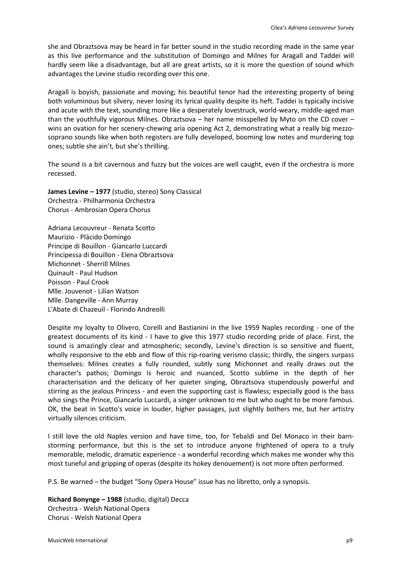she and Obraztsova may be heard in far better sound in the studio recording made in the same year as this live performance and the substitution of Domingo and Milnes for Aragall and Taddei will hardly seem like a disadvantage, but all are great artists, so it is more the question of sound which advantages the Levine studio recording over this one.

Aragall is boyish, passionate and moving; his beautiful tenor had the interesting property of being both voluminous but silvery, never losing its lyrical quality despite its heft. Taddei is typically incisive and acute with the text, sounding more like a desperately lovestruck, world-weary, middle-aged man than the youthfully vigorous Milnes. Obraztsova – her name misspelled by Myto on the CD cover – wins an ovation for her scenery-chewing aria opening Act 2, demonstrating what a really big mezzosoprano sounds like when both registers are fully developed, booming low notes and murdering top ones; subtle she ain't, but she's thrilling.

The sound is a bit cavernous and fuzzy but the voices are well caught, even if the orchestra is more recessed.

**James Levine – 1977** (studio, stereo) Sony Classical Orchestra - Philharmonia Orchestra Chorus - Ambrosian Opera Chorus

Adriana Lecouvreur - Renata Scotto Maurizio - Plácido Domingo Principe di Bouillon - Giancarlo Luccardi Principessa di Bouillon - Elena Obraztsova Michonnet - Sherrill Milnes Quinault - Paul Hudson Poisson - Paul Crook Mlle. Jouvenot - Lilian Watson Mlle. Dangeville - Ann Murray L'Abate di Chazeuil - Florindo Andreolli

Despite my loyalty to Olivero, Corelli and Bastianini in the live 1959 Naples recording - one of the greatest documents of its kind - I have to give this 1977 studio recording pride of place. First, the sound is amazingly clear and atmospheric; secondly, Levine's direction is so sensitive and fluent, wholly responsive to the ebb and flow of this rip-roaring verismo classic; thirdly, the singers surpass themselves: Milnes creates a fully rounded, subtly sung Michonnet and really draws out the character's pathos; Domingo is heroic and nuanced, Scotto sublime in the depth of her characterisation and the delicacy of her quieter singing, Obraztsova stupendously powerful and stirring as the jealous Princess - and even the supporting cast is flawless; especially good is the bass who sings the Prince, Giancarlo Luccardi, a singer unknown to me but who ought to be more famous. OK, the beat in Scotto's voice in louder, higher passages, just slightly bothers me, but her artistry virtually silences criticism.

I still love the old Naples version and have time, too, for Tebaldi and Del Monaco in their barnstorming performance, but this is the set to introduce anyone frightened of opera to a truly memorable, melodic, dramatic experience - a wonderful recording which makes me wonder why this most tuneful and gripping of operas (despite its hokey denouement) is not more often performed.

P.S. Be warned – the budget "Sony Opera House" issue has no libretto, only a synopsis.

**Richard Bonynge – 1988** (studio, digital) Decca Orchestra - Welsh National Opera Chorus - Welsh National Opera